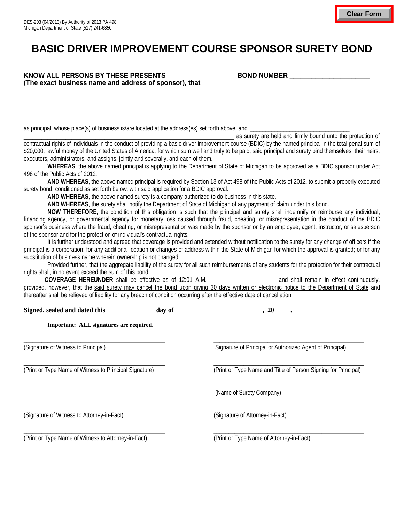## **BASIC DRIVER IMPROVEMENT COURSE SPONSOR SURETY BOND**

## KNOW ALL PERSONS BY THESE PRESENTS **BOND NUMBER \_\_\_\_\_\_\_\_\_\_\_\_\_\_\_\_\_\_\_**\_\_\_\_\_\_\_\_\_\_\_\_\_ **(The exact business name and address of sponsor), that**

as principal, whose place(s) of business is/are located at the address(es) set forth above, and

\_\_\_\_\_\_\_\_\_\_\_\_\_\_\_\_\_\_\_\_\_\_\_\_\_\_\_\_\_\_\_\_\_\_\_\_\_\_\_\_\_\_\_\_\_\_\_\_\_\_\_\_\_\_\_\_\_\_\_\_\_\_\_\_\_\_\_\_\_\_ as surety are held and firmly bound unto the protection of

contractual rights of individuals in the conduct of providing a basic driver improvement course (BDIC) by the named principal in the total penal sum of \$20,000, lawful money of the United States of America, for which sum well and truly to be paid, said principal and surety bind themselves, their heirs, executors, administrators, and assigns, jointly and severally, and each of them.

**WHEREAS**, the above named principal is applying to the Department of State of Michigan to be approved as a BDIC sponsor under Act 498 of the Public Acts of 2012.

**AND WHEREAS**, the above named principal is required by Section 13 of Act 498 of the Public Acts of 2012, to submit a properly executed surety bond, conditioned as set forth below, with said application for a BDIC approval.

**AND WHEREAS**, the above named surety is a company authorized to do business in this state.

**AND WHEREAS**, the surety shall notify the Department of State of Michigan of any payment of claim under this bond.

**NOW THEREFORE**, the condition of this obligation is such that the principal and surety shall indemnify or reimburse any individual, financing agency, or governmental agency for monetary loss caused through fraud, cheating, or misrepresentation in the conduct of the BDIC sponsor's business where the fraud, cheating, or misrepresentation was made by the sponsor or by an employee, agent, instructor, or salesperson of the sponsor and for the protection of individual's contractual rights.

It is further understood and agreed that coverage is provided and extended without notification to the surety for any change of officers if the principal is a corporation; for any additional location or changes of address within the State of Michigan for which the approval is granted; or for any substitution of business name wherein ownership is not changed.

Provided further, that the aggregate liability of the surety for all such reimbursements of any students for the protection for their contractual rights shall, in no event exceed the sum of this bond.

 **COVERAGE HEREUNDER** shall be effective as of 12:01 A.M.\_\_\_\_\_\_\_\_\_\_\_\_\_\_\_\_\_\_\_\_\_\_\_ and shall remain in effect continuously, provided, however, that the said surety may cancel the bond upon giving 30 days written or electronic notice to the Department of State and thereafter shall be relieved of liability for any breach of condition occurring after the effective date of cancellation.

 $\Box$ 

Signed, sealed and dated this \_\_\_\_\_\_\_\_\_\_\_\_\_\_\_ day of \_\_\_\_\_\_\_\_\_\_\_\_\_\_\_\_\_\_\_\_\_\_\_\_\_\_, 20\_\_\_\_\_\_.

**Important: ALL signatures are required.**

(Signature of Witness to Principal) Signature of Principal or Authorized Agent of Principal or Authorized Agent of Principal)

 $\_$  , and the set of the set of the set of the set of the set of the set of the set of the set of the set of the set of the set of the set of the set of the set of the set of the set of the set of the set of the set of th (Print or Type Name of Witness to Principal Signature) (Print or Type Name and Title of Person Signing for Principal)

\_\_\_\_\_\_\_\_\_\_\_\_\_\_\_\_\_\_\_\_\_\_\_\_\_\_\_\_\_\_\_\_\_\_\_\_\_\_\_\_\_\_\_\_\_\_\_\_\_\_

(Name of Surety Company)

 $\_$  ,  $\_$  ,  $\_$  ,  $\_$  ,  $\_$  ,  $\_$  ,  $\_$  ,  $\_$  ,  $\_$  ,  $\_$  ,  $\_$  ,  $\_$  ,  $\_$  ,  $\_$  ,  $\_$  ,  $\_$  ,  $\_$  ,  $\_$  ,  $\_$  ,  $\_$  ,  $\_$  ,  $\_$  ,  $\_$  ,  $\_$  ,  $\_$  ,  $\_$  ,  $\_$  ,  $\_$  ,  $\_$  ,  $\_$  ,  $\_$  ,  $\_$  ,  $\_$  ,  $\_$  ,  $\_$  ,  $\_$  ,  $\_$  ,

(Signature of Witness to Attorney-in-Fact) (Signature of Attorney-in-Fact)

(Print or Type Name of Witness to Attorney-in-Fact) (Print or Type Name of Attorney-in-Fact)

 $\_$  , and the set of the set of the set of the set of the set of the set of the set of the set of the set of the set of the set of the set of the set of the set of the set of the set of the set of the set of the set of th